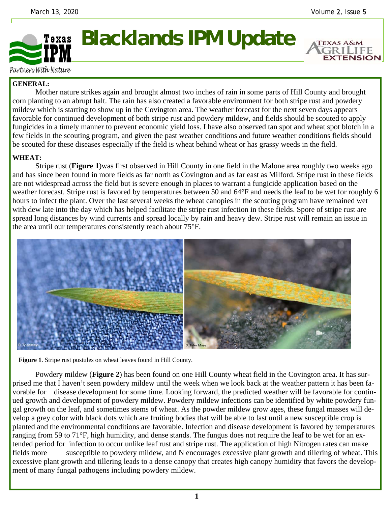**EXTENSION** 



Partners With Nature

## **GENERAL:**

 Mother nature strikes again and brought almost two inches of rain in some parts of Hill County and brought corn planting to an abrupt halt. The rain has also created a favorable environment for both stripe rust and powdery mildew which is starting to show up in the Covington area. The weather forecast for the next seven days appears favorable for continued development of both stripe rust and powdery mildew, and fields should be scouted to apply fungicides in a timely manner to prevent economic yield loss. I have also observed tan spot and wheat spot blotch in a few fields in the scouting program, and given the past weather conditions and future weather conditions fields should be scouted for these diseases especially if the field is wheat behind wheat or has grassy weeds in the field.

## **WHEAT:**

 Stripe rust (**Figure 1**)was first observed in Hill County in one field in the Malone area roughly two weeks ago and has since been found in more fields as far north as Covington and as far east as Milford. Stripe rust in these fields are not widespread across the field but is severe enough in places to warrant a fungicide application based on the weather forecast. Stripe rust is favored by temperatures between 50 and 64°F and needs the leaf to be wet for roughly 6 hours to infect the plant. Over the last several weeks the wheat canopies in the scouting program have remained wet with dew late into the day which has helped facilitate the stripe rust infection in these fields. Spore of stripe rust are spread long distances by wind currents and spread locally by rain and heavy dew. Stripe rust will remain an issue in the area until our temperatures consistently reach about 75°F.





 Powdery mildew (**Figure 2**) has been found on one Hill County wheat field in the Covington area. It has surprised me that I haven't seen powdery mildew until the week when we look back at the weather pattern it has been favorable for disease development for some time. Looking forward, the predicted weather will be favorable for continued growth and development of powdery mildew. Powdery mildew infections can be identified by white powdery fungal growth on the leaf, and sometimes stems of wheat. As the powder mildew grow ages, these fungal masses will develop a grey color with black dots which are fruiting bodies that will be able to last until a new susceptible crop is planted and the environmental conditions are favorable. Infection and disease development is favored by temperatures ranging from 59 to 71°F, high humidity, and dense stands. The fungus does not require the leaf to be wet for an extended period for infection to occur unlike leaf rust and stripe rust. The application of high Nitrogen rates can make fields more susceptible to powdery mildew, and N encourages excessive plant growth and tillering of wheat. This excessive plant growth and tillering leads to a dense canopy that creates high canopy humidity that favors the development of many fungal pathogens including powdery mildew.